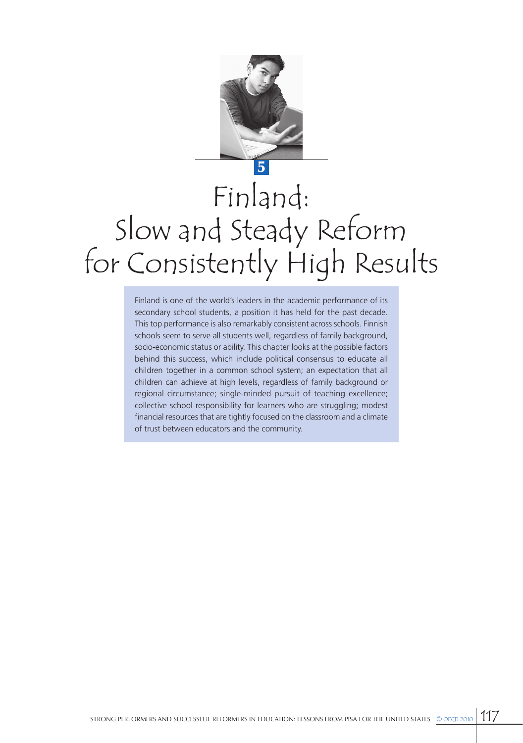

# Finland: Slow and Steady Reform for Consistently High Results

Finland is one of the world's leaders in the academic performance of its secondary school students, a position it has held for the past decade. This top performance is also remarkably consistent across schools. Finnish schools seem to serve all students well, regardless of family background, socio-economic status or ability. This chapter looks at the possible factors behind this success, which include political consensus to educate all children together in a common school system; an expectation that all children can achieve at high levels, regardless of family background or regional circumstance; single-minded pursuit of teaching excellence; collective school responsibility for learners who are struggling; modest financial resources that are tightly focused on the classroom and a climate of trust between educators and the community.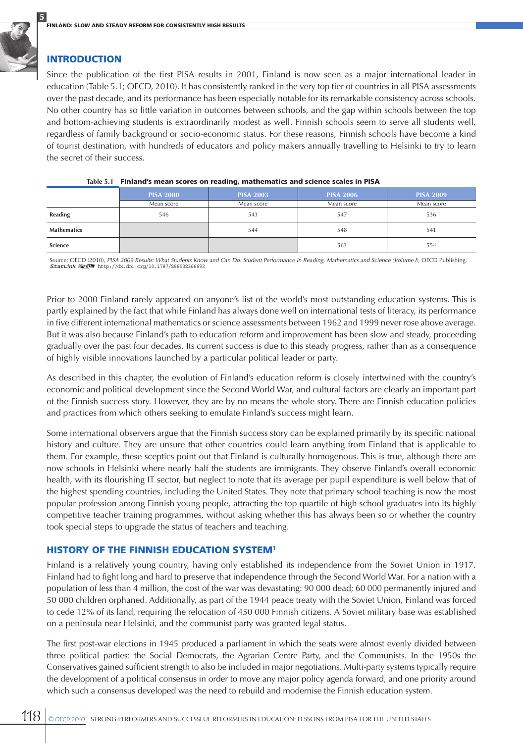## **INTRODUCTION**

Since the publication of the first PISA results in 2001, Finland is now seen as a major international leader in education (Table 5.1; OECD, 2010). It has consistently ranked in the very top tier of countries in all PISA assessments over the past decade, and its performance has been especially notable for its remarkable consistency across schools. No other country has so little variation in outcomes between schools, and the gap within schools between the top and bottom-achieving students is extraordinarily modest as well. Finnish schools seem to serve all students well, regardless of family background or socio-economic status. For these reasons, Finnish schools have become a kind of tourist destination, with hundreds of educators and policy makers annually travelling to Helsinki to try to learn the secret of their success.

| __                 |                  |                  |                  |                  |
|--------------------|------------------|------------------|------------------|------------------|
|                    | <b>PISA 2000</b> | <b>PISA 2003</b> | <b>PISA 2006</b> | <b>PISA 2009</b> |
|                    | Mean score       | Mean score       | Mean score       | Mean score       |
| Reading            | 546              | 543              | 547              | 536              |
| <b>Mathematics</b> |                  | 544              | 548              | 541              |
| Science            |                  |                  | 563              | 554              |

|  |  | Table 5.1 Finland's mean scores on reading, mathematics and science scales in PISA |
|--|--|------------------------------------------------------------------------------------|
|--|--|------------------------------------------------------------------------------------|

Source: OECD (2010), *PISA 2009 Results: What Students Know and Can Do: Student Performance in Reading, Mathematics and Science (Volume I), OECD Publishing.* 1  OECD<sup>2</sup> http://dx.doi.org/10.1787/888932366693

Prior to 2000 Finland rarely appeared on anyone's list of the world's most outstanding education systems. This is partly explained by the fact that while Finland has always done well on international tests of literacy, its performance in five different international mathematics or science assessments between 1962 and 1999 never rose above average. But it was also because Finland's path to education reform and improvement has been slow and steady, proceeding gradually over the past four decades. Its current success is due to this steady progress, rather than as a consequence of highly visible innovations launched by a particular political leader or party.

As described in this chapter, the evolution of Finland's education reform is closely intertwined with the country's economic and political development since the Second World War, and cultural factors are clearly an important part of the Finnish success story. However, they are by no means the whole story. There are Finnish education policies and practices from which others seeking to emulate Finland's success might learn.

Some international observers argue that the Finnish success story can be explained primarily by its specific national history and culture. They are unsure that other countries could learn anything from Finland that is applicable to them. For example, these sceptics point out that Finland is culturally homogenous. This is true, although there are now schools in Helsinki where nearly half the students are immigrants. They observe Finland's overall economic health, with its flourishing IT sector, but neglect to note that its average per pupil expenditure is well below that of the highest spending countries, including the United States. They note that primary school teaching is now the most popular profession among Finnish young people, attracting the top quartile of high school graduates into its highly competitive teacher training programmes, without asking whether this has always been so or whether the country took special steps to upgrade the status of teachers and teaching.

## HISTORY OF THE FINNISH EDUCATION SYSTEM<sup>1</sup>

Finland is a relatively young country, having only established its independence from the Soviet Union in 1917. Finland had to fight long and hard to preserve that independence through the Second World War. For a nation with a population of less than 4 million, the cost of the war was devastating: 90 000 dead; 60 000 permanently injured and 50 000 children orphaned. Additionally, as part of the 1944 peace treaty with the Soviet Union, Finland was forced to cede 12% of its land, requiring the relocation of 450 000 Finnish citizens. A Soviet military base was established on a peninsula near Helsinki, and the communist party was granted legal status.

The first post-war elections in 1945 produced a parliament in which the seats were almost evenly divided between three political parties: the Social Democrats, the Agrarian Centre Party, and the Communists. In the 1950s the Conservatives gained sufficient strength to also be included in major negotiations. Multi-party systems typically require the development of a political consensus in order to move any major policy agenda forward, and one priority around which such a consensus developed was the need to rebuild and modernise the Finnish education system.

5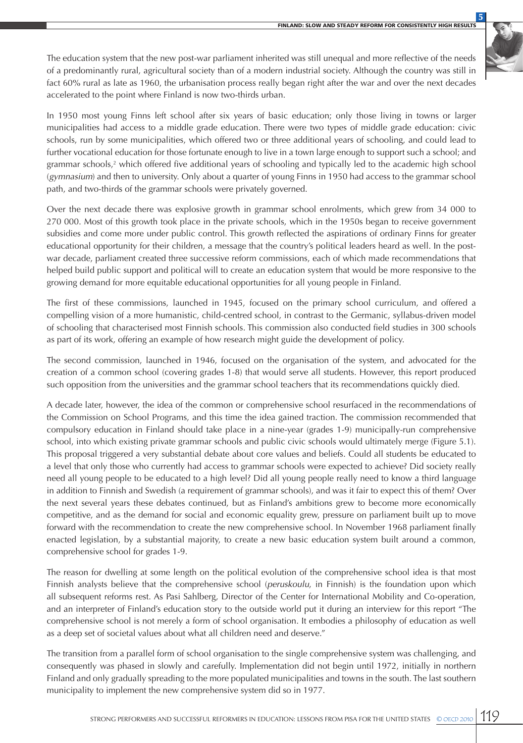The education system that the new post-war parliament inherited was still unequal and more reflective of the needs of a predominantly rural, agricultural society than of a modern industrial society. Although the country was still in fact 60% rural as late as 1960, the urbanisation process really began right after the war and over the next decades accelerated to the point where Finland is now two-thirds urban.

In 1950 most young Finns left school after six years of basic education; only those living in towns or larger municipalities had access to a middle grade education. There were two types of middle grade education: civic schools, run by some municipalities, which offered two or three additional years of schooling, and could lead to further vocational education for those fortunate enough to live in a town large enough to support such a school; and grammar schools,<sup>2</sup> which offered five additional years of schooling and typically led to the academic high school (*gymnasium*) and then to university. Only about a quarter of young Finns in 1950 had access to the grammar school path, and two-thirds of the grammar schools were privately governed.

Over the next decade there was explosive growth in grammar school enrolments, which grew from 34 000 to 270 000. Most of this growth took place in the private schools, which in the 1950s began to receive government subsidies and come more under public control. This growth reflected the aspirations of ordinary Finns for greater educational opportunity for their children, a message that the country's political leaders heard as well. In the postwar decade, parliament created three successive reform commissions, each of which made recommendations that helped build public support and political will to create an education system that would be more responsive to the growing demand for more equitable educational opportunities for all young people in Finland.

The first of these commissions, launched in 1945, focused on the primary school curriculum, and offered a compelling vision of a more humanistic, child-centred school, in contrast to the Germanic, syllabus-driven model of schooling that characterised most Finnish schools. This commission also conducted field studies in 300 schools as part of its work, offering an example of how research might guide the development of policy.

The second commission, launched in 1946, focused on the organisation of the system, and advocated for the creation of a common school (covering grades 1-8) that would serve all students. However, this report produced such opposition from the universities and the grammar school teachers that its recommendations quickly died.

A decade later, however, the idea of the common or comprehensive school resurfaced in the recommendations of the Commission on School Programs, and this time the idea gained traction. The commission recommended that compulsory education in Finland should take place in a nine-year (grades 1-9) municipally-run comprehensive school, into which existing private grammar schools and public civic schools would ultimately merge (Figure 5.1). This proposal triggered a very substantial debate about core values and beliefs. Could all students be educated to a level that only those who currently had access to grammar schools were expected to achieve? Did society really need all young people to be educated to a high level? Did all young people really need to know a third language in addition to Finnish and Swedish (a requirement of grammar schools), and was it fair to expect this of them? Over the next several years these debates continued, but as Finland's ambitions grew to become more economically competitive, and as the demand for social and economic equality grew, pressure on parliament built up to move forward with the recommendation to create the new comprehensive school. In November 1968 parliament finally enacted legislation, by a substantial majority, to create a new basic education system built around a common, comprehensive school for grades 1-9.

The reason for dwelling at some length on the political evolution of the comprehensive school idea is that most Finnish analysts believe that the comprehensive school (*peruskoulu*, in Finnish) is the foundation upon which all subsequent reforms rest. As Pasi Sahlberg, Director of the Center for International Mobility and Co-operation, and an interpreter of Finland's education story to the outside world put it during an interview for this report "The comprehensive school is not merely a form of school organisation. It embodies a philosophy of education as well as a deep set of societal values about what all children need and deserve."

The transition from a parallel form of school organisation to the single comprehensive system was challenging, and consequently was phased in slowly and carefully. Implementation did not begin until 1972, initially in northern Finland and only gradually spreading to the more populated municipalities and towns in the south. The last southern municipality to implement the new comprehensive system did so in 1977.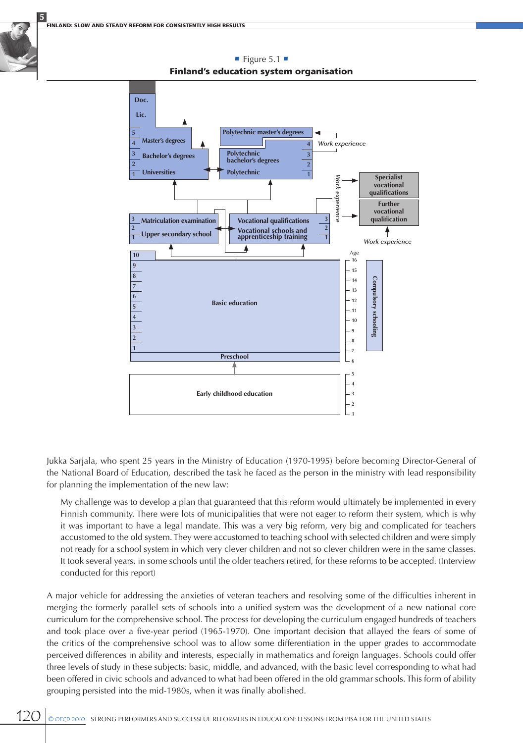





Jukka Sarjala, who spent 25 years in the Ministry of Education (1970-1995) before becoming Director-General of the National Board of Education, described the task he faced as the person in the ministry with lead responsibility for planning the implementation of the new law:

My challenge was to develop a plan that guaranteed that this reform would ultimately be implemented in every Finnish community. There were lots of municipalities that were not eager to reform their system, which is why it was important to have a legal mandate. This was a very big reform, very big and complicated for teachers accustomed to the old system. They were accustomed to teaching school with selected children and were simply not ready for a school system in which very clever children and not so clever children were in the same classes. It took several years, in some schools until the older teachers retired, for these reforms to be accepted. (Interview conducted for this report)

A major vehicle for addressing the anxieties of veteran teachers and resolving some of the difficulties inherent in merging the formerly parallel sets of schools into a unified system was the development of a new national core curriculum for the comprehensive school. The process for developing the curriculum engaged hundreds of teachers and took place over a five-year period (1965-1970). One important decision that allayed the fears of some of the critics of the comprehensive school was to allow some differentiation in the upper grades to accommodate perceived differences in ability and interests, especially in mathematics and foreign languages. Schools could offer three levels of study in these subjects: basic, middle, and advanced, with the basic level corresponding to what had been offered in civic schools and advanced to what had been offered in the old grammar schools. This form of ability grouping persisted into the mid-1980s, when it was finally abolished.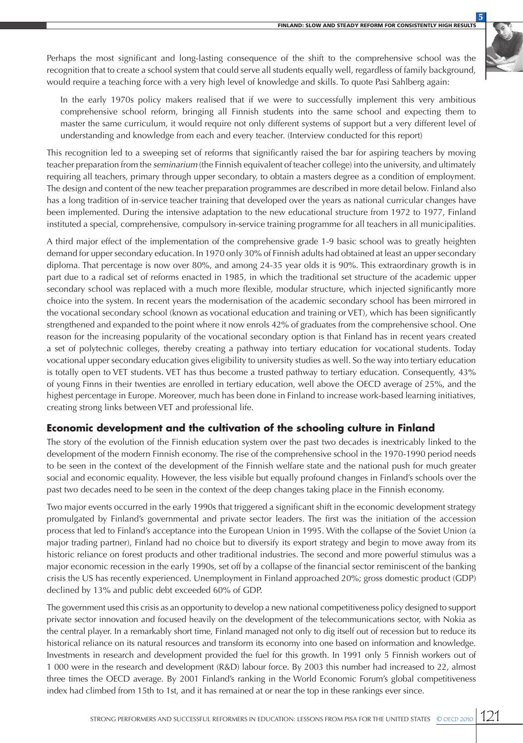Perhaps the most significant and long-lasting consequence of the shift to the comprehensive school was the recognition that to create a school system that could serve all students equally well, regardless of family background, would require a teaching force with a very high level of knowledge and skills. To quote Pasi Sahlberg again:

In the early 1970s policy makers realised that if we were to successfully implement this very ambitious comprehensive school reform, bringing all Finnish students into the same school and expecting them to master the same curriculum, it would require not only different systems of support but a very different level of understanding and knowledge from each and every teacher. (Interview conducted for this report)

This recognition led to a sweeping set of reforms that significantly raised the bar for aspiring teachers by moving teacher preparation from the *seminarium* (the Finnish equivalent of teacher college) into the university, and ultimately requiring all teachers, primary through upper secondary, to obtain a masters degree as a condition of employment. The design and content of the new teacher preparation programmes are described in more detail below. Finland also has a long tradition of in-service teacher training that developed over the years as national curricular changes have been implemented. During the intensive adaptation to the new educational structure from 1972 to 1977, Finland instituted a special, comprehensive, compulsory in-service training programme for all teachers in all municipalities.

A third major effect of the implementation of the comprehensive grade 1-9 basic school was to greatly heighten demand for upper secondary education. In 1970 only 30% of Finnish adults had obtained at least an upper secondary diploma. That percentage is now over 80%, and among 24-35 year olds it is 90%. This extraordinary growth is in part due to a radical set of reforms enacted in 1985, in which the traditional set structure of the academic upper secondary school was replaced with a much more flexible, modular structure, which injected significantly more choice into the system. In recent years the modernisation of the academic secondary school has been mirrored in the vocational secondary school (known as vocational education and training or VET), which has been significantly strengthened and expanded to the point where it now enrols 42% of graduates from the comprehensive school. One reason for the increasing popularity of the vocational secondary option is that Finland has in recent years created a set of polytechnic colleges, thereby creating a pathway into tertiary education for vocational students. Today vocational upper secondary education gives eligibility to university studies as well. So the way into tertiary education is totally open to VET students. VET has thus become a trusted pathway to tertiary education. Consequently, 43% of young Finns in their twenties are enrolled in tertiary education, well above the OECD average of 25%, and the highest percentage in Europe. Moreover, much has been done in Finland to increase work-based learning initiatives, creating strong links between VET and professional life.

# **Economic development and the cultivation of the schooling culture in Finland**

The story of the evolution of the Finnish education system over the past two decades is inextricably linked to the development of the modern Finnish economy. The rise of the comprehensive school in the 1970-1990 period needs to be seen in the context of the development of the Finnish welfare state and the national push for much greater social and economic equality. However, the less visible but equally profound changes in Finland's schools over the past two decades need to be seen in the context of the deep changes taking place in the Finnish economy.

Two major events occurred in the early 1990s that triggered a significant shift in the economic development strategy promulgated by Finland's governmental and private sector leaders. The first was the initiation of the accession process that led to Finland's acceptance into the European Union in 1995. With the collapse of the Soviet Union (a major trading partner), Finland had no choice but to diversify its export strategy and begin to move away from its historic reliance on forest products and other traditional industries. The second and more powerful stimulus was a major economic recession in the early 1990s, set off by a collapse of the financial sector reminiscent of the banking crisis the US has recently experienced. Unemployment in Finland approached 20%; gross domestic product (GDP) declined by 13% and public debt exceeded 60% of GDP.

The government used this crisis as an opportunity to develop a new national competitiveness policy designed to support private sector innovation and focused heavily on the development of the telecommunications sector, with Nokia as the central player. In a remarkably short time, Finland managed not only to dig itself out of recession but to reduce its historical reliance on its natural resources and transform its economy into one based on information and knowledge. Investments in research and development provided the fuel for this growth. In 1991 only 5 Finnish workers out of 1 000 were in the research and development (R&D) labour force. By 2003 this number had increased to 22, almost three times the OECD average. By 2001 Finland's ranking in the World Economic Forum's global competitiveness index had climbed from 15th to 1st, and it has remained at or near the top in these rankings ever since.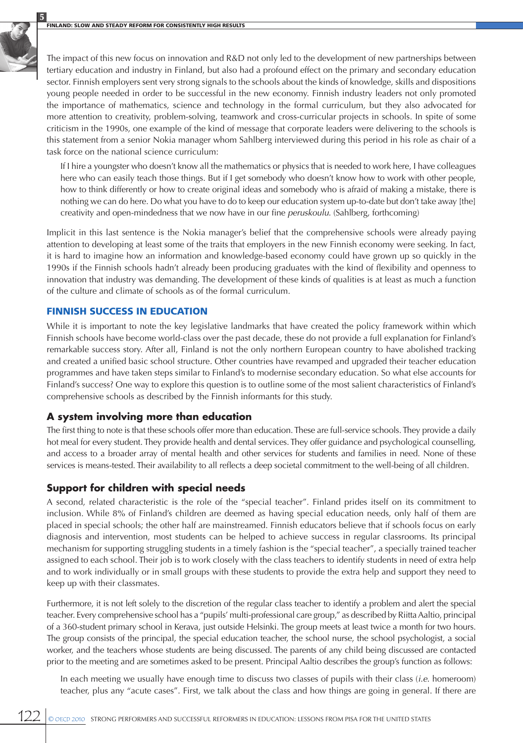The impact of this new focus on innovation and R&D not only led to the development of new partnerships between

tertiary education and industry in Finland, but also had a profound effect on the primary and secondary education sector. Finnish employers sent very strong signals to the schools about the kinds of knowledge, skills and dispositions young people needed in order to be successful in the new economy. Finnish industry leaders not only promoted the importance of mathematics, science and technology in the formal curriculum, but they also advocated for more attention to creativity, problem-solving, teamwork and cross-curricular projects in schools. In spite of some criticism in the 1990s, one example of the kind of message that corporate leaders were delivering to the schools is this statement from a senior Nokia manager whom Sahlberg interviewed during this period in his role as chair of a task force on the national science curriculum:

If I hire a youngster who doesn't know all the mathematics or physics that is needed to work here, I have colleagues here who can easily teach those things. But if I get somebody who doesn't know how to work with other people, how to think differently or how to create original ideas and somebody who is afraid of making a mistake, there is nothing we can do here. Do what you have to do to keep our education system up-to-date but don't take away [the] creativity and open-mindedness that we now have in our fine *peruskoulu*. (Sahlberg, forthcoming)

Implicit in this last sentence is the Nokia manager's belief that the comprehensive schools were already paying attention to developing at least some of the traits that employers in the new Finnish economy were seeking. In fact, it is hard to imagine how an information and knowledge-based economy could have grown up so quickly in the 1990s if the Finnish schools hadn't already been producing graduates with the kind of flexibility and openness to innovation that industry was demanding. The development of these kinds of qualities is at least as much a function of the culture and climate of schools as of the formal curriculum.

## Finnish success in education

While it is important to note the key legislative landmarks that have created the policy framework within which Finnish schools have become world-class over the past decade, these do not provide a full explanation for Finland's remarkable success story. After all, Finland is not the only northern European country to have abolished tracking and created a unified basic school structure. Other countries have revamped and upgraded their teacher education programmes and have taken steps similar to Finland's to modernise secondary education. So what else accounts for Finland's success? One way to explore this question is to outline some of the most salient characteristics of Finland's comprehensive schools as described by the Finnish informants for this study.

# **A system involving more than education**

The first thing to note is that these schools offer more than education. These are full-service schools. They provide a daily hot meal for every student. They provide health and dental services. They offer guidance and psychological counselling, and access to a broader array of mental health and other services for students and families in need. None of these services is means-tested. Their availability to all reflects a deep societal commitment to the well-being of all children.

# **Support for children with special needs**

A second, related characteristic is the role of the "special teacher". Finland prides itself on its commitment to inclusion. While 8% of Finland's children are deemed as having special education needs, only half of them are placed in special schools; the other half are mainstreamed. Finnish educators believe that if schools focus on early diagnosis and intervention, most students can be helped to achieve success in regular classrooms. Its principal mechanism for supporting struggling students in a timely fashion is the "special teacher", a specially trained teacher assigned to each school. Their job is to work closely with the class teachers to identify students in need of extra help and to work individually or in small groups with these students to provide the extra help and support they need to keep up with their classmates.

Furthermore, it is not left solely to the discretion of the regular class teacher to identify a problem and alert the special teacher. Every comprehensive school has a "pupils' multi-professional care group," as described by Riitta Aaltio, principal of a 360-student primary school in Kerava, just outside Helsinki. The group meets at least twice a month for two hours. The group consists of the principal, the special education teacher, the school nurse, the school psychologist, a social worker, and the teachers whose students are being discussed. The parents of any child being discussed are contacted prior to the meeting and are sometimes asked to be present. Principal Aaltio describes the group's function as follows:

In each meeting we usually have enough time to discuss two classes of pupils with their class (*i.e*. homeroom) teacher, plus any "acute cases". First, we talk about the class and how things are going in general. If there are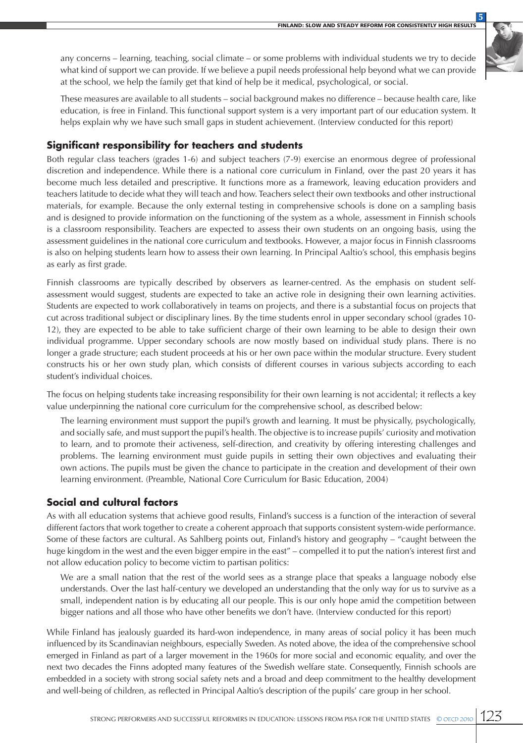any concerns – learning, teaching, social climate – or some problems with individual students we try to decide what kind of support we can provide. If we believe a pupil needs professional help beyond what we can provide at the school, we help the family get that kind of help be it medical, psychological, or social.

These measures are available to all students – social background makes no difference – because health care, like education, is free in Finland. This functional support system is a very important part of our education system. It helps explain why we have such small gaps in student achievement. (Interview conducted for this report)

# **Significant responsibility for teachers and students**

Both regular class teachers (grades 1-6) and subject teachers (7-9) exercise an enormous degree of professional discretion and independence. While there is a national core curriculum in Finland, over the past 20 years it has become much less detailed and prescriptive. It functions more as a framework, leaving education providers and teachers latitude to decide what they will teach and how. Teachers select their own textbooks and other instructional materials, for example. Because the only external testing in comprehensive schools is done on a sampling basis and is designed to provide information on the functioning of the system as a whole, assessment in Finnish schools is a classroom responsibility. Teachers are expected to assess their own students on an ongoing basis, using the assessment guidelines in the national core curriculum and textbooks. However, a major focus in Finnish classrooms is also on helping students learn how to assess their own learning. In Principal Aaltio's school, this emphasis begins as early as first grade.

Finnish classrooms are typically described by observers as learner-centred. As the emphasis on student selfassessment would suggest, students are expected to take an active role in designing their own learning activities. Students are expected to work collaboratively in teams on projects, and there is a substantial focus on projects that cut across traditional subject or disciplinary lines. By the time students enrol in upper secondary school (grades 10- 12), they are expected to be able to take sufficient charge of their own learning to be able to design their own individual programme. Upper secondary schools are now mostly based on individual study plans. There is no longer a grade structure; each student proceeds at his or her own pace within the modular structure. Every student constructs his or her own study plan, which consists of different courses in various subjects according to each student's individual choices.

The focus on helping students take increasing responsibility for their own learning is not accidental; it reflects a key value underpinning the national core curriculum for the comprehensive school, as described below:

The learning environment must support the pupil's growth and learning. It must be physically, psychologically, and socially safe, and must support the pupil's health. The objective is to increase pupils' curiosity and motivation to learn, and to promote their activeness, self-direction, and creativity by offering interesting challenges and problems. The learning environment must guide pupils in setting their own objectives and evaluating their own actions. The pupils must be given the chance to participate in the creation and development of their own learning environment. (Preamble, National Core Curriculum for Basic Education, 2004)

# **Social and cultural factors**

As with all education systems that achieve good results, Finland's success is a function of the interaction of several different factors that work together to create a coherent approach that supports consistent system-wide performance. Some of these factors are cultural. As Sahlberg points out, Finland's history and geography – "caught between the huge kingdom in the west and the even bigger empire in the east" – compelled it to put the nation's interest first and not allow education policy to become victim to partisan politics:

We are a small nation that the rest of the world sees as a strange place that speaks a language nobody else understands. Over the last half-century we developed an understanding that the only way for us to survive as a small, independent nation is by educating all our people. This is our only hope amid the competition between bigger nations and all those who have other benefits we don't have. (Interview conducted for this report)

While Finland has jealously guarded its hard-won independence, in many areas of social policy it has been much influenced by its Scandinavian neighbours, especially Sweden. As noted above, the idea of the comprehensive school emerged in Finland as part of a larger movement in the 1960s for more social and economic equality, and over the next two decades the Finns adopted many features of the Swedish welfare state. Consequently, Finnish schools are embedded in a society with strong social safety nets and a broad and deep commitment to the healthy development and well-being of children, as reflected in Principal Aaltio's description of the pupils' care group in her school.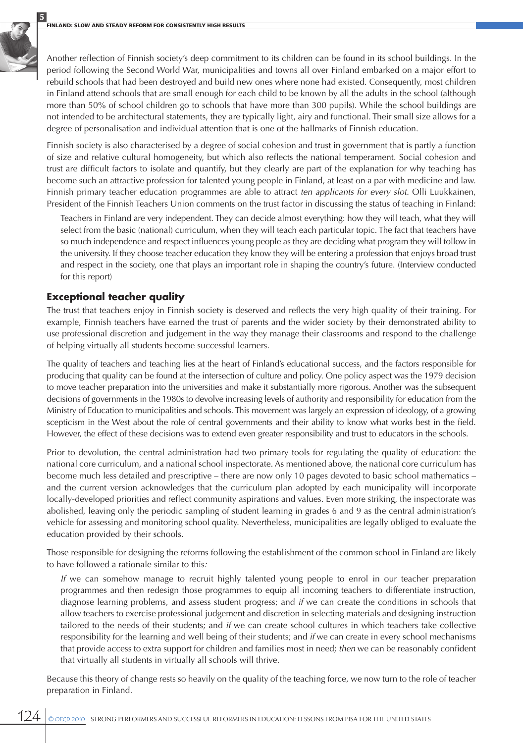Another reflection of Finnish society's deep commitment to its children can be found in its school buildings. In the period following the Second World War, municipalities and towns all over Finland embarked on a major effort to rebuild schools that had been destroyed and build new ones where none had existed. Consequently, most children in Finland attend schools that are small enough for each child to be known by all the adults in the school (although more than 50% of school children go to schools that have more than 300 pupils). While the school buildings are not intended to be architectural statements, they are typically light, airy and functional. Their small size allows for a degree of personalisation and individual attention that is one of the hallmarks of Finnish education.

Finnish society is also characterised by a degree of social cohesion and trust in government that is partly a function of size and relative cultural homogeneity, but which also reflects the national temperament. Social cohesion and trust are difficult factors to isolate and quantify, but they clearly are part of the explanation for why teaching has become such an attractive profession for talented young people in Finland, at least on a par with medicine and law. Finnish primary teacher education programmes are able to attract *ten applicants for every slot.* Olli Luukkainen, President of the Finnish Teachers Union comments on the trust factor in discussing the status of teaching in Finland:

Teachers in Finland are very independent. They can decide almost everything: how they will teach, what they will select from the basic (national) curriculum, when they will teach each particular topic. The fact that teachers have so much independence and respect influences young people as they are deciding what program they will follow in the university. If they choose teacher education they know they will be entering a profession that enjoys broad trust and respect in the society, one that plays an important role in shaping the country's future. (Interview conducted for this report)

# **Exceptional teacher quality**

The trust that teachers enjoy in Finnish society is deserved and reflects the very high quality of their training. For example, Finnish teachers have earned the trust of parents and the wider society by their demonstrated ability to use professional discretion and judgement in the way they manage their classrooms and respond to the challenge of helping virtually all students become successful learners.

The quality of teachers and teaching lies at the heart of Finland's educational success, and the factors responsible for producing that quality can be found at the intersection of culture and policy. One policy aspect was the 1979 decision to move teacher preparation into the universities and make it substantially more rigorous. Another was the subsequent decisions of governments in the 1980s to devolve increasing levels of authority and responsibility for education from the Ministry of Education to municipalities and schools. This movement was largely an expression of ideology, of a growing scepticism in the West about the role of central governments and their ability to know what works best in the field. However, the effect of these decisions was to extend even greater responsibility and trust to educators in the schools.

Prior to devolution, the central administration had two primary tools for regulating the quality of education: the national core curriculum, and a national school inspectorate. As mentioned above, the national core curriculum has become much less detailed and prescriptive – there are now only 10 pages devoted to basic school mathematics – and the current version acknowledges that the curriculum plan adopted by each municipality will incorporate locally-developed priorities and reflect community aspirations and values. Even more striking, the inspectorate was abolished, leaving only the periodic sampling of student learning in grades 6 and 9 as the central administration's vehicle for assessing and monitoring school quality. Nevertheless, municipalities are legally obliged to evaluate the education provided by their schools.

Those responsible for designing the reforms following the establishment of the common school in Finland are likely to have followed a rationale similar to this*:*

*If* we can somehow manage to recruit highly talented young people to enrol in our teacher preparation programmes and then redesign those programmes to equip all incoming teachers to differentiate instruction, diagnose learning problems, and assess student progress; and *if* we can create the conditions in schools that allow teachers to exercise professional judgement and discretion in selecting materials and designing instruction tailored to the needs of their students; and *if* we can create school cultures in which teachers take collective responsibility for the learning and well being of their students; and *if* we can create in every school mechanisms that provide access to extra support for children and families most in need; *then* we can be reasonably confident that virtually all students in virtually all schools will thrive.

Because this theory of change rests so heavily on the quality of the teaching force, we now turn to the role of teacher preparation in Finland.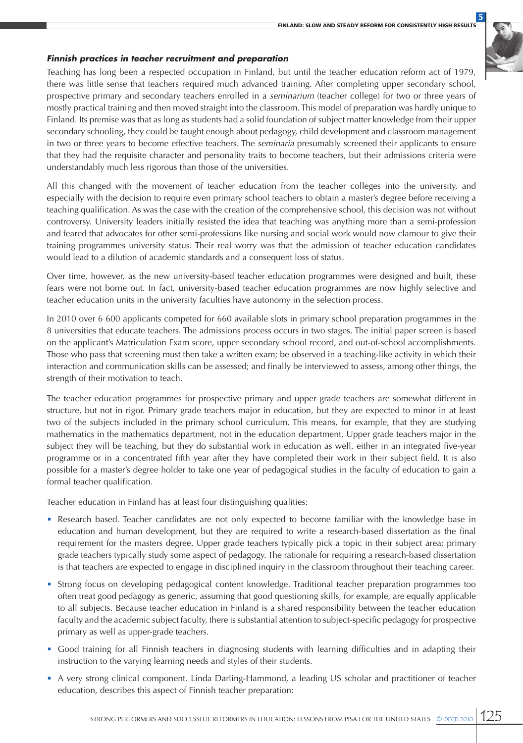#### *Finnish practices in teacher recruitment and preparation*

Teaching has long been a respected occupation in Finland, but until the teacher education reform act of 1979, there was little sense that teachers required much advanced training. After completing upper secondary school, prospective primary and secondary teachers enrolled in a *seminarium* (teacher college) for two or three years of mostly practical training and then moved straight into the classroom. This model of preparation was hardly unique to Finland. Its premise was that as long as students had a solid foundation of subject matter knowledge from their upper secondary schooling, they could be taught enough about pedagogy, child development and classroom management in two or three years to become effective teachers. The *seminaria* presumably screened their applicants to ensure that they had the requisite character and personality traits to become teachers, but their admissions criteria were understandably much less rigorous than those of the universities.

All this changed with the movement of teacher education from the teacher colleges into the university, and especially with the decision to require even primary school teachers to obtain a master's degree before receiving a teaching qualification. As was the case with the creation of the comprehensive school, this decision was not without controversy. University leaders initially resisted the idea that teaching was anything more than a semi-profession and feared that advocates for other semi-professions like nursing and social work would now clamour to give their training programmes university status. Their real worry was that the admission of teacher education candidates would lead to a dilution of academic standards and a consequent loss of status.

Over time, however, as the new university-based teacher education programmes were designed and built, these fears were not borne out. In fact, university-based teacher education programmes are now highly selective and teacher education units in the university faculties have autonomy in the selection process.

In 2010 over 6 600 applicants competed for 660 available slots in primary school preparation programmes in the 8 universities that educate teachers. The admissions process occurs in two stages. The initial paper screen is based on the applicant's Matriculation Exam score, upper secondary school record, and out-of-school accomplishments. Those who pass that screening must then take a written exam; be observed in a teaching-like activity in which their interaction and communication skills can be assessed; and finally be interviewed to assess, among other things, the strength of their motivation to teach.

The teacher education programmes for prospective primary and upper grade teachers are somewhat different in structure, but not in rigor. Primary grade teachers major in education, but they are expected to minor in at least two of the subjects included in the primary school curriculum. This means, for example, that they are studying mathematics in the mathematics department, not in the education department. Upper grade teachers major in the subject they will be teaching, but they do substantial work in education as well, either in an integrated five-year programme or in a concentrated fifth year after they have completed their work in their subject field. It is also possible for a master's degree holder to take one year of pedagogical studies in the faculty of education to gain a formal teacher qualification.

Teacher education in Finland has at least four distinguishing qualities:

- Research based. Teacher candidates are not only expected to become familiar with the knowledge base in education and human development, but they are required to write a research-based dissertation as the final requirement for the masters degree. Upper grade teachers typically pick a topic in their subject area; primary grade teachers typically study some aspect of pedagogy. The rationale for requiring a research-based dissertation is that teachers are expected to engage in disciplined inquiry in the classroom throughout their teaching career.
- Strong focus on developing pedagogical content knowledge. Traditional teacher preparation programmes too often treat good pedagogy as generic, assuming that good questioning skills, for example, are equally applicable to all subjects. Because teacher education in Finland is a shared responsibility between the teacher education faculty and the academic subject faculty, there is substantial attention to subject-specific pedagogy for prospective primary as well as upper-grade teachers.
- *•*  Good training for all Finnish teachers in diagnosing students with learning difficulties and in adapting their instruction to the varying learning needs and styles of their students.
- *•*  A very strong clinical component. Linda Darling-Hammond, a leading US scholar and practitioner of teacher education, describes this aspect of Finnish teacher preparation: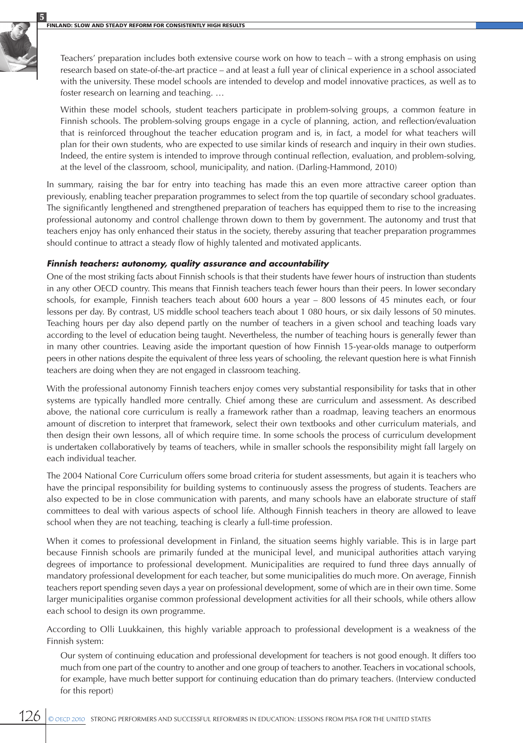Teachers' preparation includes both extensive course work on how to teach – with a strong emphasis on using research based on state-of-the-art practice – and at least a full year of clinical experience in a school associated with the university. These model schools are intended to develop and model innovative practices, as well as to foster research on learning and teaching. …

Within these model schools, student teachers participate in problem-solving groups, a common feature in Finnish schools. The problem-solving groups engage in a cycle of planning, action, and reflection/evaluation that is reinforced throughout the teacher education program and is, in fact, a model for what teachers will plan for their own students, who are expected to use similar kinds of research and inquiry in their own studies. Indeed, the entire system is intended to improve through continual reflection, evaluation, and problem-solving, at the level of the classroom, school, municipality, and nation. (Darling-Hammond, 2010)

In summary, raising the bar for entry into teaching has made this an even more attractive career option than previously, enabling teacher preparation programmes to select from the top quartile of secondary school graduates. The significantly lengthened and strengthened preparation of teachers has equipped them to rise to the increasing professional autonomy and control challenge thrown down to them by government. The autonomy and trust that teachers enjoy has only enhanced their status in the society, thereby assuring that teacher preparation programmes should continue to attract a steady flow of highly talented and motivated applicants.

#### *Finnish teachers: autonomy, quality assurance and accountability*

One of the most striking facts about Finnish schools is that their students have fewer hours of instruction than students in any other OECD country. This means that Finnish teachers teach fewer hours than their peers. In lower secondary schools, for example, Finnish teachers teach about 600 hours a year – 800 lessons of 45 minutes each, or four lessons per day. By contrast, US middle school teachers teach about 1 080 hours, or six daily lessons of 50 minutes. Teaching hours per day also depend partly on the number of teachers in a given school and teaching loads vary according to the level of education being taught. Nevertheless, the number of teaching hours is generally fewer than in many other countries. Leaving aside the important question of how Finnish 15-year-olds manage to outperform peers in other nations despite the equivalent of three less years of schooling, the relevant question here is what Finnish teachers are doing when they are not engaged in classroom teaching.

With the professional autonomy Finnish teachers enjoy comes very substantial responsibility for tasks that in other systems are typically handled more centrally. Chief among these are curriculum and assessment. As described above, the national core curriculum is really a framework rather than a roadmap, leaving teachers an enormous amount of discretion to interpret that framework, select their own textbooks and other curriculum materials, and then design their own lessons, all of which require time. In some schools the process of curriculum development is undertaken collaboratively by teams of teachers, while in smaller schools the responsibility might fall largely on each individual teacher.

The 2004 National Core Curriculum offers some broad criteria for student assessments, but again it is teachers who have the principal responsibility for building systems to continuously assess the progress of students. Teachers are also expected to be in close communication with parents, and many schools have an elaborate structure of staff committees to deal with various aspects of school life. Although Finnish teachers in theory are allowed to leave school when they are not teaching, teaching is clearly a full-time profession.

When it comes to professional development in Finland, the situation seems highly variable. This is in large part because Finnish schools are primarily funded at the municipal level, and municipal authorities attach varying degrees of importance to professional development. Municipalities are required to fund three days annually of mandatory professional development for each teacher, but some municipalities do much more. On average, Finnish teachers report spending seven days a year on professional development, some of which are in their own time. Some larger municipalities organise common professional development activities for all their schools, while others allow each school to design its own programme.

According to Olli Luukkainen, this highly variable approach to professional development is a weakness of the Finnish system:

Our system of continuing education and professional development for teachers is not good enough. It differs too much from one part of the country to another and one group of teachers to another. Teachers in vocational schools, for example, have much better support for continuing education than do primary teachers. (Interview conducted for this report)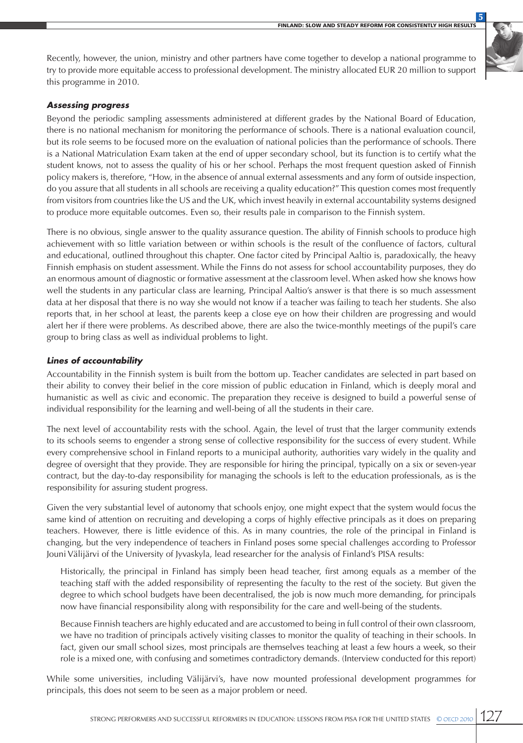Recently, however, the union, ministry and other partners have come together to develop a national programme to try to provide more equitable access to professional development. The ministry allocated EUR 20 million to support this programme in 2010.

#### *Assessing progress*

Beyond the periodic sampling assessments administered at different grades by the National Board of Education, there is no national mechanism for monitoring the performance of schools. There is a national evaluation council, but its role seems to be focused more on the evaluation of national policies than the performance of schools. There is a National Matriculation Exam taken at the end of upper secondary school, but its function is to certify what the student knows, not to assess the quality of his or her school. Perhaps the most frequent question asked of Finnish policy makers is, therefore, "How, in the absence of annual external assessments and any form of outside inspection, do you assure that all students in all schools are receiving a quality education?" This question comes most frequently from visitors from countries like the US and the UK, which invest heavily in external accountability systems designed to produce more equitable outcomes. Even so, their results pale in comparison to the Finnish system.

There is no obvious, single answer to the quality assurance question. The ability of Finnish schools to produce high achievement with so little variation between or within schools is the result of the confluence of factors, cultural and educational, outlined throughout this chapter. One factor cited by Principal Aaltio is, paradoxically, the heavy Finnish emphasis on student assessment. While the Finns do not assess for school accountability purposes, they do an enormous amount of diagnostic or formative assessment at the classroom level. When asked how she knows how well the students in any particular class are learning, Principal Aaltio's answer is that there is so much assessment data at her disposal that there is no way she would not know if a teacher was failing to teach her students. She also reports that, in her school at least, the parents keep a close eye on how their children are progressing and would alert her if there were problems. As described above, there are also the twice-monthly meetings of the pupil's care group to bring class as well as individual problems to light.

#### *Lines of accountability*

Accountability in the Finnish system is built from the bottom up. Teacher candidates are selected in part based on their ability to convey their belief in the core mission of public education in Finland, which is deeply moral and humanistic as well as civic and economic. The preparation they receive is designed to build a powerful sense of individual responsibility for the learning and well-being of all the students in their care.

The next level of accountability rests with the school. Again, the level of trust that the larger community extends to its schools seems to engender a strong sense of collective responsibility for the success of every student. While every comprehensive school in Finland reports to a municipal authority, authorities vary widely in the quality and degree of oversight that they provide. They are responsible for hiring the principal, typically on a six or seven-year contract, but the day-to-day responsibility for managing the schools is left to the education professionals, as is the responsibility for assuring student progress.

Given the very substantial level of autonomy that schools enjoy, one might expect that the system would focus the same kind of attention on recruiting and developing a corps of highly effective principals as it does on preparing teachers. However, there is little evidence of this. As in many countries, the role of the principal in Finland is changing, but the very independence of teachers in Finland poses some special challenges according to Professor Jouni Välijärvi of the University of Jyvaskyla, lead researcher for the analysis of Finland's PISA results:

Historically, the principal in Finland has simply been head teacher, first among equals as a member of the teaching staff with the added responsibility of representing the faculty to the rest of the society. But given the degree to which school budgets have been decentralised, the job is now much more demanding, for principals now have financial responsibility along with responsibility for the care and well-being of the students.

Because Finnish teachers are highly educated and are accustomed to being in full control of their own classroom, we have no tradition of principals actively visiting classes to monitor the quality of teaching in their schools. In fact, given our small school sizes, most principals are themselves teaching at least a few hours a week, so their role is a mixed one, with confusing and sometimes contradictory demands. (Interview conducted for this report)

While some universities, including Välijärvi's, have now mounted professional development programmes for principals, this does not seem to be seen as a major problem or need.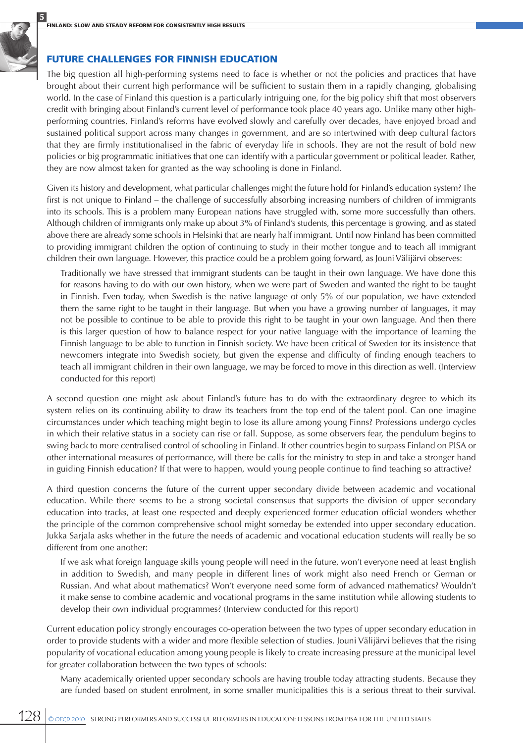## Future challenges for Finnish education

The big question all high-performing systems need to face is whether or not the policies and practices that have brought about their current high performance will be sufficient to sustain them in a rapidly changing, globalising world. In the case of Finland this question is a particularly intriguing one, for the big policy shift that most observers credit with bringing about Finland's current level of performance took place 40 years ago. Unlike many other highperforming countries, Finland's reforms have evolved slowly and carefully over decades, have enjoyed broad and sustained political support across many changes in government, and are so intertwined with deep cultural factors that they are firmly institutionalised in the fabric of everyday life in schools. They are not the result of bold new policies or big programmatic initiatives that one can identify with a particular government or political leader. Rather, they are now almost taken for granted as the way schooling is done in Finland.

Given its history and development, what particular challenges might the future hold for Finland's education system? The first is not unique to Finland – the challenge of successfully absorbing increasing numbers of children of immigrants into its schools. This is a problem many European nations have struggled with, some more successfully than others. Although children of immigrants only make up about 3% of Finland's students, this percentage is growing, and as stated above there are already some schools in Helsinki that are nearly half immigrant. Until now Finland has been committed to providing immigrant children the option of continuing to study in their mother tongue and to teach all immigrant children their own language. However, this practice could be a problem going forward, as Jouni Välijärvi observes:

Traditionally we have stressed that immigrant students can be taught in their own language. We have done this for reasons having to do with our own history, when we were part of Sweden and wanted the right to be taught in Finnish. Even today, when Swedish is the native language of only 5% of our population, we have extended them the same right to be taught in their language. But when you have a growing number of languages, it may not be possible to continue to be able to provide this right to be taught in your own language. And then there is this larger question of how to balance respect for your native language with the importance of learning the Finnish language to be able to function in Finnish society. We have been critical of Sweden for its insistence that newcomers integrate into Swedish society, but given the expense and difficulty of finding enough teachers to teach all immigrant children in their own language, we may be forced to move in this direction as well. (Interview conducted for this report)

A second question one might ask about Finland's future has to do with the extraordinary degree to which its system relies on its continuing ability to draw its teachers from the top end of the talent pool. Can one imagine circumstances under which teaching might begin to lose its allure among young Finns? Professions undergo cycles in which their relative status in a society can rise or fall. Suppose, as some observers fear, the pendulum begins to swing back to more centralised control of schooling in Finland. If other countries begin to surpass Finland on PISA or other international measures of performance, will there be calls for the ministry to step in and take a stronger hand in guiding Finnish education? If that were to happen, would young people continue to find teaching so attractive?

A third question concerns the future of the current upper secondary divide between academic and vocational education. While there seems to be a strong societal consensus that supports the division of upper secondary education into tracks, at least one respected and deeply experienced former education official wonders whether the principle of the common comprehensive school might someday be extended into upper secondary education. Jukka Sarjala asks whether in the future the needs of academic and vocational education students will really be so different from one another:

If we ask what foreign language skills young people will need in the future, won't everyone need at least English in addition to Swedish, and many people in different lines of work might also need French or German or Russian. And what about mathematics? Won't everyone need some form of advanced mathematics? Wouldn't it make sense to combine academic and vocational programs in the same institution while allowing students to develop their own individual programmes? (Interview conducted for this report)

Current education policy strongly encourages co-operation between the two types of upper secondary education in order to provide students with a wider and more flexible selection of studies. Jouni Välijärvi believes that the rising popularity of vocational education among young people is likely to create increasing pressure at the municipal level for greater collaboration between the two types of schools:

Many academically oriented upper secondary schools are having trouble today attracting students. Because they are funded based on student enrolment, in some smaller municipalities this is a serious threat to their survival.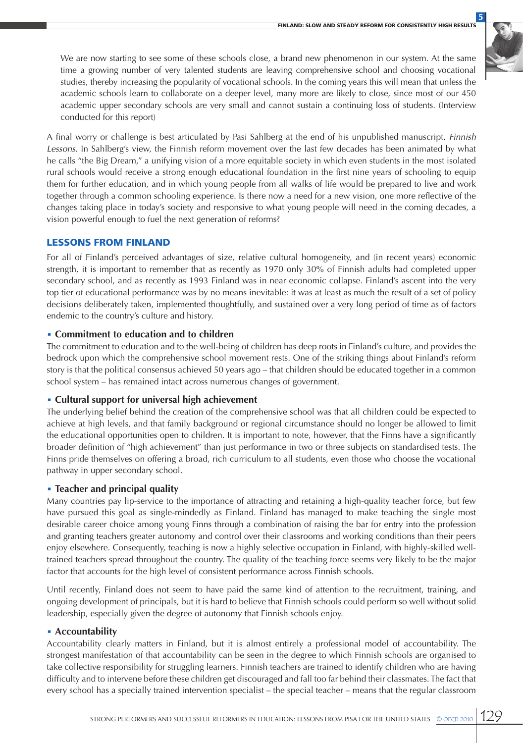We are now starting to see some of these schools close, a brand new phenomenon in our system. At the same time a growing number of very talented students are leaving comprehensive school and choosing vocational studies, thereby increasing the popularity of vocational schools. In the coming years this will mean that unless the academic schools learn to collaborate on a deeper level, many more are likely to close, since most of our 450 academic upper secondary schools are very small and cannot sustain a continuing loss of students. (Interview conducted for this report)

A final worry or challenge is best articulated by Pasi Sahlberg at the end of his unpublished manuscript, *Finnish Lessons*. In Sahlberg's view, the Finnish reform movement over the last few decades has been animated by what he calls "the Big Dream," a unifying vision of a more equitable society in which even students in the most isolated rural schools would receive a strong enough educational foundation in the first nine years of schooling to equip them for further education, and in which young people from all walks of life would be prepared to live and work together through a common schooling experience. Is there now a need for a new vision, one more reflective of the changes taking place in today's society and responsive to what young people will need in the coming decades, a vision powerful enough to fuel the next generation of reforms?

## Lessons from Finland

For all of Finland's perceived advantages of size, relative cultural homogeneity, and (in recent years) economic strength, it is important to remember that as recently as 1970 only 30% of Finnish adults had completed upper secondary school, and as recently as 1993 Finland was in near economic collapse. Finland's ascent into the very top tier of educational performance was by no means inevitable: it was at least as much the result of a set of policy decisions deliberately taken, implemented thoughtfully, and sustained over a very long period of time as of factors endemic to the country's culture and history.

## *•* **Commitment to education and to children**

The commitment to education and to the well-being of children has deep roots in Finland's culture, and provides the bedrock upon which the comprehensive school movement rests. One of the striking things about Finland's reform story is that the political consensus achieved 50 years ago – that children should be educated together in a common school system – has remained intact across numerous changes of government.

## *•* **Cultural support for universal high achievement**

The underlying belief behind the creation of the comprehensive school was that all children could be expected to achieve at high levels, and that family background or regional circumstance should no longer be allowed to limit the educational opportunities open to children. It is important to note, however, that the Finns have a significantly broader definition of "high achievement" than just performance in two or three subjects on standardised tests. The Finns pride themselves on offering a broad, rich curriculum to all students, even those who choose the vocational pathway in upper secondary school.

## *•* **Teacher and principal quality**

Many countries pay lip-service to the importance of attracting and retaining a high-quality teacher force, but few have pursued this goal as single-mindedly as Finland. Finland has managed to make teaching the single most desirable career choice among young Finns through a combination of raising the bar for entry into the profession and granting teachers greater autonomy and control over their classrooms and working conditions than their peers enjoy elsewhere. Consequently, teaching is now a highly selective occupation in Finland, with highly-skilled welltrained teachers spread throughout the country. The quality of the teaching force seems very likely to be the major factor that accounts for the high level of consistent performance across Finnish schools.

Until recently, Finland does not seem to have paid the same kind of attention to the recruitment, training, and ongoing development of principals, but it is hard to believe that Finnish schools could perform so well without solid leadership, especially given the degree of autonomy that Finnish schools enjoy.

#### *•* **Accountability**

Accountability clearly matters in Finland, but it is almost entirely a professional model of accountability. The strongest manifestation of that accountability can be seen in the degree to which Finnish schools are organised to take collective responsibility for struggling learners. Finnish teachers are trained to identify children who are having difficulty and to intervene before these children get discouraged and fall too far behind their classmates. The fact that every school has a specially trained intervention specialist – the special teacher – means that the regular classroom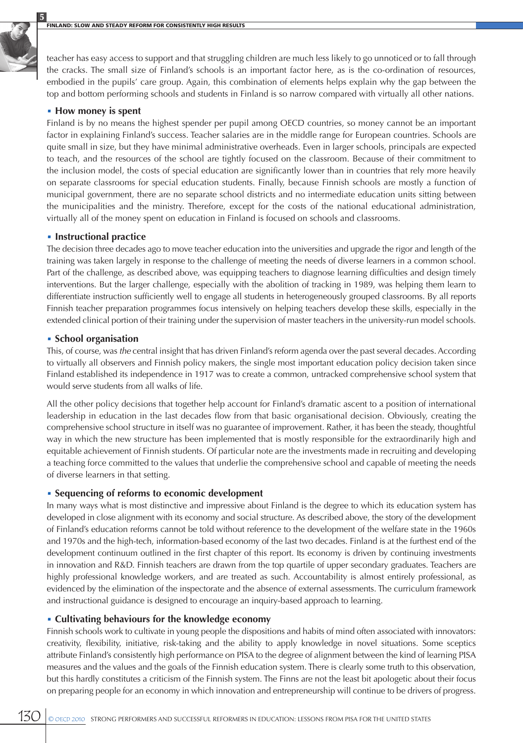teacher has easy access to support and that struggling children are much less likely to go unnoticed or to fall through the cracks. The small size of Finland's schools is an important factor here, as is the co-ordination of resources, embodied in the pupils' care group. Again, this combination of elements helps explain why the gap between the top and bottom performing schools and students in Finland is so narrow compared with virtually all other nations.

#### *•* **How money is spent**

Finland is by no means the highest spender per pupil among OECD countries, so money cannot be an important factor in explaining Finland's success. Teacher salaries are in the middle range for European countries. Schools are quite small in size, but they have minimal administrative overheads. Even in larger schools, principals are expected to teach, and the resources of the school are tightly focused on the classroom. Because of their commitment to the inclusion model, the costs of special education are significantly lower than in countries that rely more heavily on separate classrooms for special education students. Finally, because Finnish schools are mostly a function of municipal government, there are no separate school districts and no intermediate education units sitting between the municipalities and the ministry. Therefore, except for the costs of the national educational administration, virtually all of the money spent on education in Finland is focused on schools and classrooms.

#### *•* **Instructional practice**

The decision three decades ago to move teacher education into the universities and upgrade the rigor and length of the training was taken largely in response to the challenge of meeting the needs of diverse learners in a common school. Part of the challenge, as described above, was equipping teachers to diagnose learning difficulties and design timely interventions. But the larger challenge, especially with the abolition of tracking in 1989, was helping them learn to differentiate instruction sufficiently well to engage all students in heterogeneously grouped classrooms. By all reports Finnish teacher preparation programmes focus intensively on helping teachers develop these skills, especially in the extended clinical portion of their training under the supervision of master teachers in the university-run model schools.

#### *•* **School organisation**

This, of course, was *the* central insight that has driven Finland's reform agenda over the past several decades. According to virtually all observers and Finnish policy makers, the single most important education policy decision taken since Finland established its independence in 1917 was to create a common, untracked comprehensive school system that would serve students from all walks of life.

All the other policy decisions that together help account for Finland's dramatic ascent to a position of international leadership in education in the last decades flow from that basic organisational decision. Obviously, creating the comprehensive school structure in itself was no guarantee of improvement. Rather, it has been the steady, thoughtful way in which the new structure has been implemented that is mostly responsible for the extraordinarily high and equitable achievement of Finnish students. Of particular note are the investments made in recruiting and developing a teaching force committed to the values that underlie the comprehensive school and capable of meeting the needs of diverse learners in that setting.

#### *•* **Sequencing of reforms to economic development**

In many ways what is most distinctive and impressive about Finland is the degree to which its education system has developed in close alignment with its economy and social structure. As described above, the story of the development of Finland's education reforms cannot be told without reference to the development of the welfare state in the 1960s and 1970s and the high-tech, information-based economy of the last two decades. Finland is at the furthest end of the development continuum outlined in the first chapter of this report. Its economy is driven by continuing investments in innovation and R&D. Finnish teachers are drawn from the top quartile of upper secondary graduates. Teachers are highly professional knowledge workers, and are treated as such. Accountability is almost entirely professional, as evidenced by the elimination of the inspectorate and the absence of external assessments. The curriculum framework and instructional guidance is designed to encourage an inquiry-based approach to learning.

#### *•* **Cultivating behaviours for the knowledge economy**

Finnish schools work to cultivate in young people the dispositions and habits of mind often associated with innovators: creativity, flexibility, initiative, risk-taking and the ability to apply knowledge in novel situations. Some sceptics attribute Finland's consistently high performance on PISA to the degree of alignment between the kind of learning PISA measures and the values and the goals of the Finnish education system. There is clearly some truth to this observation, but this hardly constitutes a criticism of the Finnish system. The Finns are not the least bit apologetic about their focus on preparing people for an economy in which innovation and entrepreneurship will continue to be drivers of progress.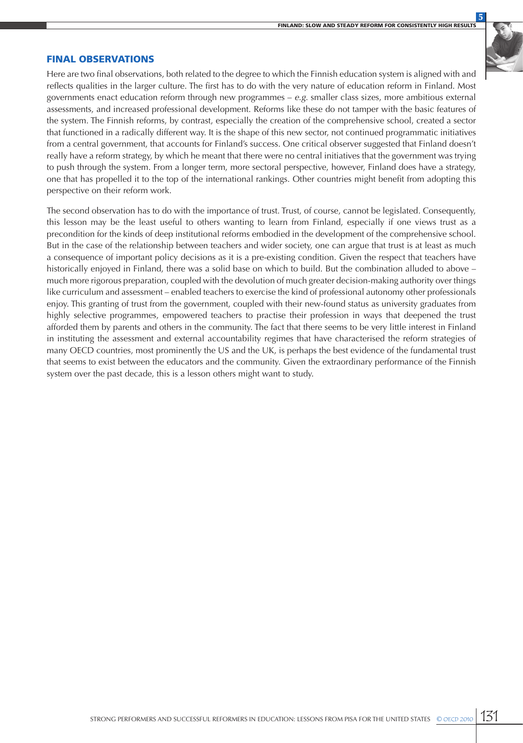#### Final observations

Here are two final observations, both related to the degree to which the Finnish education system is aligned with and reflects qualities in the larger culture. The first has to do with the very nature of education reform in Finland. Most governments enact education reform through new programmes – *e.g.* smaller class sizes, more ambitious external assessments, and increased professional development. Reforms like these do not tamper with the basic features of the system. The Finnish reforms, by contrast, especially the creation of the comprehensive school, created a sector that functioned in a radically different way. It is the shape of this new sector, not continued programmatic initiatives from a central government, that accounts for Finland's success. One critical observer suggested that Finland doesn't really have a reform strategy, by which he meant that there were no central initiatives that the government was trying to push through the system. From a longer term, more sectoral perspective, however, Finland does have a strategy, one that has propelled it to the top of the international rankings. Other countries might benefit from adopting this perspective on their reform work.

The second observation has to do with the importance of trust. Trust, of course, cannot be legislated. Consequently, this lesson may be the least useful to others wanting to learn from Finland, especially if one views trust as a precondition for the kinds of deep institutional reforms embodied in the development of the comprehensive school. But in the case of the relationship between teachers and wider society, one can argue that trust is at least as much a consequence of important policy decisions as it is a pre-existing condition. Given the respect that teachers have historically enjoyed in Finland, there was a solid base on which to build. But the combination alluded to above – much more rigorous preparation, coupled with the devolution of much greater decision-making authority over things like curriculum and assessment – enabled teachers to exercise the kind of professional autonomy other professionals enjoy. This granting of trust from the government, coupled with their new-found status as university graduates from highly selective programmes, empowered teachers to practise their profession in ways that deepened the trust afforded them by parents and others in the community. The fact that there seems to be very little interest in Finland in instituting the assessment and external accountability regimes that have characterised the reform strategies of many OECD countries, most prominently the US and the UK, is perhaps the best evidence of the fundamental trust that seems to exist between the educators and the community. Given the extraordinary performance of the Finnish system over the past decade, this is a lesson others might want to study.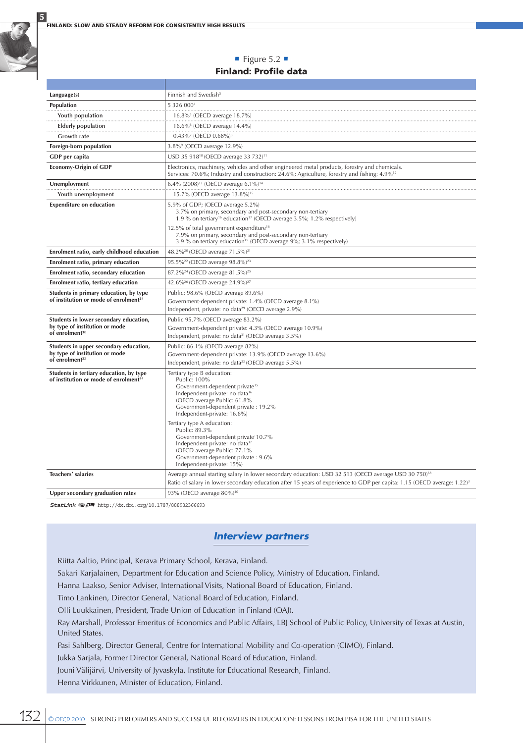#### *•* Figure 5.2 *•* Finland: Profile data

| Language(s)                                                                                            | Finnish and Swedish <sup>3</sup>                                                                                                                                                                                                                                                                                                                                                                        |  |  |
|--------------------------------------------------------------------------------------------------------|---------------------------------------------------------------------------------------------------------------------------------------------------------------------------------------------------------------------------------------------------------------------------------------------------------------------------------------------------------------------------------------------------------|--|--|
| Population                                                                                             | 5 326 000 <sup>4</sup>                                                                                                                                                                                                                                                                                                                                                                                  |  |  |
| Youth population                                                                                       | 16.8% <sup>5</sup> (OECD average 18.7%)                                                                                                                                                                                                                                                                                                                                                                 |  |  |
| <b>Elderly population</b>                                                                              | 16.6% (OECD average 14.4%)                                                                                                                                                                                                                                                                                                                                                                              |  |  |
| Growth rate                                                                                            | $0.43\%$ <sup>7</sup> (OECD $0.68\%$ ) <sup>8</sup>                                                                                                                                                                                                                                                                                                                                                     |  |  |
| Foreign-born population                                                                                | 3.8% <sup>9</sup> (OECD average 12.9%)                                                                                                                                                                                                                                                                                                                                                                  |  |  |
| GDP per capita                                                                                         | USD 35 918 <sup>10</sup> (OECD average 33 732) <sup>11</sup>                                                                                                                                                                                                                                                                                                                                            |  |  |
| <b>Economy-Origin of GDP</b>                                                                           | Electronics, machinery, vehicles and other engineered metal products, forestry and chemicals.<br>Services: 70.6%; Industry and construction: 24.6%; Agriculture, forestry and fishing: 4.9% <sup>12</sup>                                                                                                                                                                                               |  |  |
| Unemployment                                                                                           | 6.4% (2008) <sup>13</sup> (OECD average 6.1%) <sup>14</sup>                                                                                                                                                                                                                                                                                                                                             |  |  |
| Youth unemployment                                                                                     | 15.7% (OECD average 13.8%) <sup>15</sup>                                                                                                                                                                                                                                                                                                                                                                |  |  |
| <b>Expenditure on education</b>                                                                        | 5.9% of GDP; (OECD average 5.2%)<br>3.7% on primary, secondary and post-secondary non-tertiary<br>1.9 % on tertiary <sup>16</sup> education <sup>17</sup> (OECD average 3.5%; 1.2% respectively)<br>12.5% of total government expenditure <sup>18</sup><br>7.9% on primary, secondary and post-secondary non-tertiary<br>3.9 % on tertiary education <sup>19</sup> (OECD average 9%; 3.1% respectively) |  |  |
| Enrolment ratio, early childhood education                                                             | 48.2% <sup>20</sup> (OECD average 71.5%) <sup>21</sup>                                                                                                                                                                                                                                                                                                                                                  |  |  |
| Enrolment ratio, primary education                                                                     | $95.5\%^{22}$ (OECD average $98.8\%$ ) <sup>23</sup>                                                                                                                                                                                                                                                                                                                                                    |  |  |
| Enrolment ratio, secondary education                                                                   | 87.2% <sup>24</sup> (OECD average 81.5%) <sup>25</sup>                                                                                                                                                                                                                                                                                                                                                  |  |  |
| Enrolment ratio, tertiary education                                                                    | 42.6% <sup>26</sup> (OECD average 24.9%) <sup>27</sup>                                                                                                                                                                                                                                                                                                                                                  |  |  |
| Students in primary education, by type<br>of institution or mode of enrolment <sup>28</sup>            | Public: 98.6% (OECD average 89.6%)<br>Government-dependent private: 1.4% (OECD average 8.1%)<br>Independent, private: no data <sup>29</sup> (OECD average 2.9%)                                                                                                                                                                                                                                         |  |  |
| Students in lower secondary education,<br>by type of institution or mode<br>of enrolment <sup>30</sup> | Public 95.7% (OECD average 83.2%)<br>Government-dependent private: 4.3% (OECD average 10.9%)<br>Independent, private: no data <sup>31</sup> (OECD average 3.5%)                                                                                                                                                                                                                                         |  |  |
| Students in upper secondary education,<br>by type of institution or mode<br>of enrolment <sup>32</sup> | Public: 86.1% (OECD average 82%)<br>Government-dependent private: 13.9% (OECD average 13.6%)<br>Independent, private: no data <sup>33</sup> (OECD average 5.5%)                                                                                                                                                                                                                                         |  |  |
| Students in tertiary education, by type<br>of institution or mode of enrolment <sup>34</sup>           | Tertiary type B education:<br>Public: 100%<br>Government-dependent private <sup>35</sup><br>Independent-private: no data <sup>36</sup><br>(OECD average Public: 61.8%<br>Government-dependent private: 19.2%<br>Independent-private: 16.6%)<br>Tertiary type A education:                                                                                                                               |  |  |
|                                                                                                        | Public: 89.3%<br>Government-dependent private 10.7%<br>Independent-private: no data <sup>37</sup><br>(OECD average Public: 77.1%<br>Government-dependent private: 9.6%<br>Independent-private: 15%)                                                                                                                                                                                                     |  |  |
| Teachers' salaries                                                                                     | Average annual starting salary in lower secondary education: USD 32 513 (OECD average USD 30 750) <sup>38</sup><br>Ratio of salary in lower secondary education after 15 years of experience to GDP per capita: 1.15 (OECD average: 1.22) <sup>3</sup>                                                                                                                                                  |  |  |
| Upper secondary graduation rates                                                                       | 93% (OECD average 80%) <sup>40</sup>                                                                                                                                                                                                                                                                                                                                                                    |  |  |

1 2http://dx.doi.org/10.1787/888932366693

# *Interview partners*

Riitta Aaltio, Principal, Kerava Primary School, Kerava, Finland.

Sakari Karjalainen, Department for Education and Science Policy, Ministry of Education, Finland.

Hanna Laakso, Senior Adviser, International Visits, National Board of Education, Finland.

Timo Lankinen, Director General, National Board of Education, Finland.

Olli Luukkainen, President, Trade Union of Education in Finland (OAJ).

Ray Marshall, Professor Emeritus of Economics and Public Affairs, LBJ School of Public Policy, University of Texas at Austin, United States.

Pasi Sahlberg, Director General, Centre for International Mobility and Co-operation (CIMO), Finland.

Jukka Sarjala, Former Director General, National Board of Education, Finland.

Jouni Välijärvi, University of Jyvaskyla, Institute for Educational Research, Finland.

Henna Virkkunen, Minister of Education, Finland.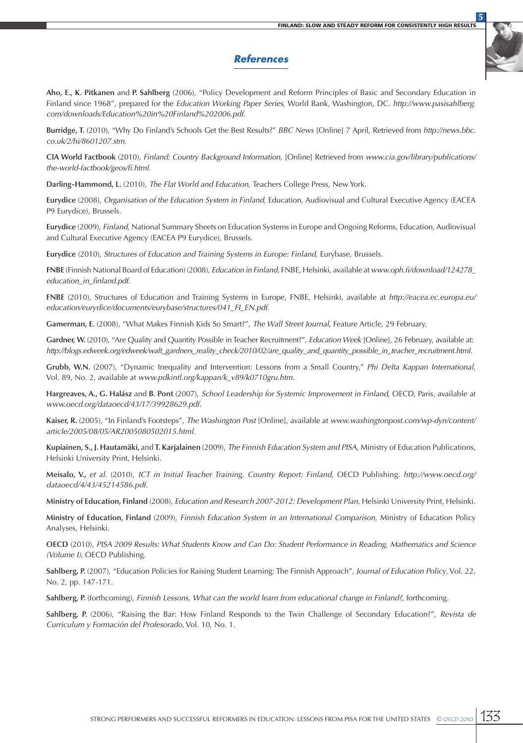# *References*

**Aho, E., K. Pitkanen** and **P. Sahlberg** (2006), "Policy Development and Reform Principles of Basic and Secondary Education in Finland since 1968"*,* prepared for the *Education Working Paper Series*, World Bank, Washington, DC. *http://www.pasisahlberg. com/downloads/Education%20in%20Finland%202006.pdf.*

**Burridge, T.** (2010), "Why Do Finland's Schools Get the Best Results?" *BBC News* [Online] 7 April, Retrieved from *http://news.bbc. co.uk/2/hi/8601207.stm.*

**CIA World Factbook** (2010), *Finland: Country Background Information*, [Online] Retrieved from *www.cia.gov/library/publications/ the-world-factbook/geos/fi.html.*

**Darling-Hammond, L.** (2010), *The Flat World and Education,* Teachers College Press, New York.

**Eurydice** (2008), *Organisation of the Education System in Finland*, Education, Audiovisual and Cultural Executive Agency (EACEA P9 Eurydice), Brussels.

**Eurydice** (2009), *Finland*, National Summary Sheets on Education Systems in Europe and Ongoing Reforms, Education, Audiovisual and Cultural Executive Agency (EACEA P9 Eurydice), Brussels.

**Eurydice** (2010), *Structures of Education and Training Systems in Europe: Finland*, Eurybase, Brussels.

**FNBE** (Finnish National Board of Education) (2008), *Education in Finland*, FNBE, Helsinki, available at *www.oph.fi/download/124278\_ education\_in\_finland.pdf.*

**FNBE** (2010), Structures of Education and Training Systems in Europe, FNBE, Helsinki, available at *http://eacea.ec.europa.eu/ education/eurydice/documents/eurybase/structures/041\_FI\_EN.pdf.*

**Gamerman, E.** (2008), "What Makes Finnish Kids So Smart?", *The Wall Street Journal*, Feature Article, 29 February.

**Gardner, W.** (2010), "Are Quality and Quantity Possible in Teacher Recruitment?", *Education Week* [Online], 26 February, available at: *http://blogs.edweek.org/edweek/walt\_gardners\_reality\_check/2010/02/are\_quality\_and\_quantity\_possible\_in\_teacher\_recruitment.html*.

**Grubb, W.N.** (2007), "Dynamic Inequality and Intervention: Lessons from a Small Country," *Phi Delta Kappan International*, Vol. 89, No. 2, available at *www.pdkintl.org/kappan/k\_v89/k0710gru.htm.*

**Hargreaves, A., G. Halász** and **B. Pont** (2007), *School Leadership for Systemic Improvement in Finland*, OECD, Paris, available at *www.oecd.org/dataoecd/43/17/39928629.pdf.*

**Kaiser, R.** (2005), "In Finland's Footsteps", *The Washington Post* [Online], available at *www.washingtonpost.com/wp-dyn/content/ article/2005/08/05/AR2005080502015.html.*

**Kupiainen, S., J. Hautamäki,** and **T. Karjalainen** (2009), *The Finnish Education System and PISA*, Ministry of Education Publications, Helsinki University Print, Helsinki.

**Meisalo, V.,** *et al*. (2010), *ICT in Initial Teacher Training, Country Report: Finland*, OECD Publishing. *http://www.oecd.org/ dataoecd/4/43/45214586.pdf.*

**Ministry of Education, Finland** (2008), *Education and Research 2007-2012: Development Plan*, Helsinki University Print, Helsinki.

**Ministry of Education, Finland** (2009), *Finnish Education System in an International Comparison*, Ministry of Education Policy Analyses, Helsinki.

**OECD** (2010), *PISA 2009 Results: What Students Know and Can Do: Student Performance in Reading, Mathematics and Science (Volume I)*, OECD Publishing.

**Sahlberg, P.** (2007), "Education Policies for Raising Student Learning: The Finnish Approach", *Journal of Education Policy*, Vol. 22, No. 2, pp. 147-171.

**Sahlberg, P.** (forthcoming), *Finnish Lessons*, *What can the world learn from educational change in Finland?,* forthcoming.

**Sahlberg, P.** (2006), "Raising the Bar: How Finland Responds to the Twin Challenge of Secondary Education?", *Revista de Curriculum y Formación del Profesorado*, Vol. 10, No. 1.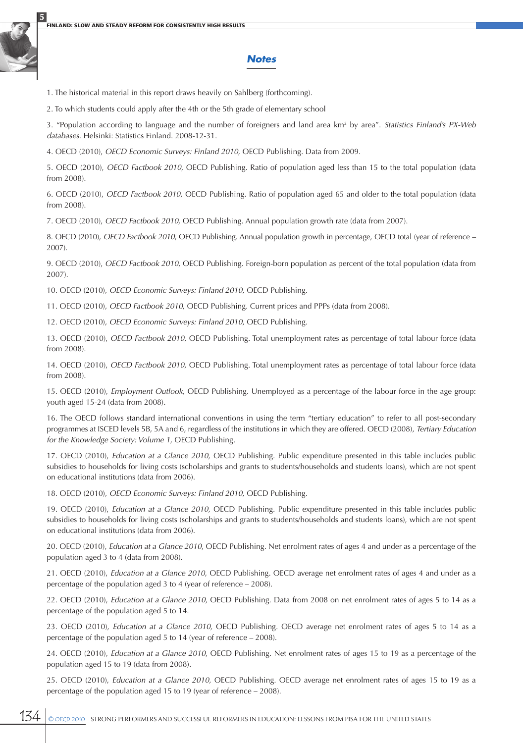#### *Notes*

1. The historical material in this report draws heavily on Sahlberg (forthcoming).

2. To which students could apply after the 4th or the 5th grade of elementary school

3. "Population according to language and the number of foreigners and land area km2 by area". *Statistics Finland's PX-Web databases*. Helsinki: Statistics Finland. 2008-12-31.

4. OECD (2010), *OECD Economic Surveys: Finland 2010*, OECD Publishing. Data from 2009.

5. OECD (2010), *OECD Factbook 2010*, OECD Publishing. Ratio of population aged less than 15 to the total population (data from 2008).

6. OECD (2010), *OECD Factbook 2010*, OECD Publishing. Ratio of population aged 65 and older to the total population (data from 2008).

7. OECD (2010), *OECD Factbook 2010*, OECD Publishing. Annual population growth rate (data from 2007).

8. OECD (2010), *OECD Factbook 2010*, OECD Publishing. Annual population growth in percentage, OECD total (year of reference – 2007).

9. OECD (2010), *OECD Factbook 2010*, OECD Publishing. Foreign-born population as percent of the total population (data from 2007).

10. OECD (2010), *OECD Economic Surveys: Finland 2010*, OECD Publishing.

11. OECD (2010), *OECD Factbook 2010*, OECD Publishing. Current prices and PPPs (data from 2008).

12. OECD (2010), *OECD Economic Surveys: Finland 2010*, OECD Publishing.

13. OECD (2010), *OECD Factbook 2010*, OECD Publishing. Total unemployment rates as percentage of total labour force (data from 2008).

14. OECD (2010), *OECD Factbook 2010*, OECD Publishing. Total unemployment rates as percentage of total labour force (data from 2008).

15. OECD (2010), *Employment Outlook*, OECD Publishing. Unemployed as a percentage of the labour force in the age group: youth aged 15-24 (data from 2008).

16. The OECD follows standard international conventions in using the term "tertiary education" to refer to all post-secondary programmes at ISCED levels 5B, 5A and 6, regardless of the institutions in which they are offered. OECD (2008), *Tertiary Education for the Knowledge Society: Volume 1*, OECD Publishing.

17. OECD (2010), *Education at a Glance 2010*, OECD Publishing. Public expenditure presented in this table includes public subsidies to households for living costs (scholarships and grants to students/households and students loans), which are not spent on educational institutions (data from 2006).

18. OECD (2010), *OECD Economic Surveys: Finland 2010*, OECD Publishing.

19. OECD (2010), *Education at a Glance 2010*, OECD Publishing. Public expenditure presented in this table includes public subsidies to households for living costs (scholarships and grants to students/households and students loans), which are not spent on educational institutions (data from 2006).

20. OECD (2010), *Education at a Glance 2010*, OECD Publishing. Net enrolment rates of ages 4 and under as a percentage of the population aged 3 to 4 (data from 2008).

21. OECD (2010), *Education at a Glance 2010*, OECD Publishing. OECD average net enrolment rates of ages 4 and under as a percentage of the population aged 3 to 4 (year of reference – 2008).

22. OECD (2010), *Education at a Glance 2010*, OECD Publishing. Data from 2008 on net enrolment rates of ages 5 to 14 as a percentage of the population aged 5 to 14.

23. OECD (2010), *Education at a Glance 2010,* OECD Publishing. OECD average net enrolment rates of ages 5 to 14 as a percentage of the population aged 5 to 14 (year of reference – 2008).

24. OECD (2010), *Education at a Glance 2010*, OECD Publishing. Net enrolment rates of ages 15 to 19 as a percentage of the population aged 15 to 19 (data from 2008).

25. OECD (2010), *Education at a Glance 2010*, OECD Publishing. OECD average net enrolment rates of ages 15 to 19 as a percentage of the population aged 15 to 19 (year of reference – 2008).